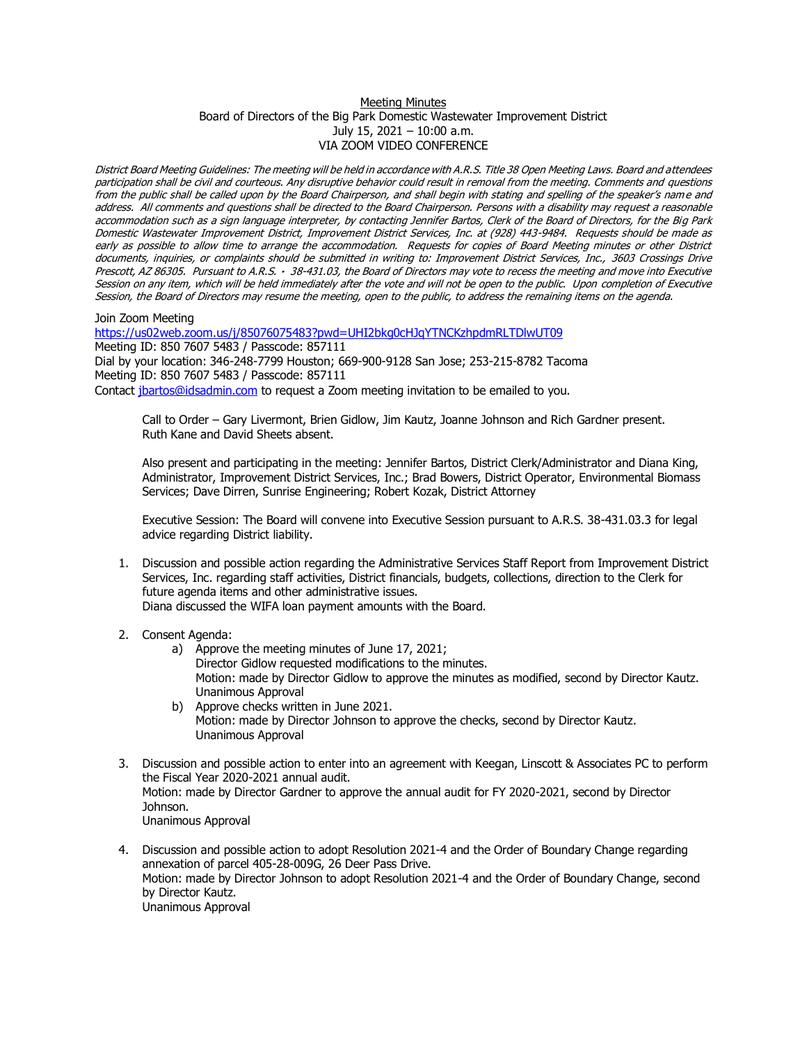## Meeting Minutes Board of Directors of the Big Park Domestic Wastewater Improvement District July 15, 2021 – 10:00 a.m. VIA ZOOM VIDEO CONFERENCE

District Board Meeting Guidelines: The meeting will be held in accordance with A.R.S. Title 38 Open Meeting Laws. Board and attendees participation shall be civil and courteous. Any disruptive behavior could result in removal from the meeting. Comments and questions from the public shall be called upon by the Board Chairperson, and shall begin with stating and spelling of the speaker's name and address. All comments and questions shall be directed to the Board Chairperson. Persons with a disability may request a reasonable accommodation such as a sign language interpreter, by contacting Jennifer Bartos, Clerk of the Board of Directors, for the Big Park Domestic Wastewater Improvement District, Improvement District Services, Inc. at (928) 443-9484. Requests should be made as early as possible to allow time to arrange the accommodation. Requests for copies of Board Meeting minutes or other District documents, inquiries, or complaints should be submitted in writing to: Improvement District Services, Inc., 3603 Crossings Drive Prescott, AZ 86305. Pursuant to A.R.S. · 38-431.03, the Board of Directors may vote to recess the meeting and move into Executive Session on any item, which will be held immediately after the vote and will not be open to the public. Upon completion of Executive Session, the Board of Directors may resume the meeting, open to the public, to address the remaining items on the agenda.

Join Zoom Meeting

<https://us02web.zoom.us/j/85076075483?pwd=UHI2bkg0cHJqYTNCKzhpdmRLTDlwUT09> Meeting ID: 850 7607 5483 / Passcode: 857111 Dial by your location: 346-248-7799 Houston; 669-900-9128 San Jose; 253-215-8782 Tacoma Meeting ID: 850 7607 5483 / Passcode: 857111 Contact [jbartos@idsadmin.com](mailto:jbartos@idsadmin.com) to request a Zoom meeting invitation to be emailed to you.

Call to Order – Gary Livermont, Brien Gidlow, Jim Kautz, Joanne Johnson and Rich Gardner present. Ruth Kane and David Sheets absent.

Also present and participating in the meeting: Jennifer Bartos, District Clerk/Administrator and Diana King, Administrator, Improvement District Services, Inc.; Brad Bowers, District Operator, Environmental Biomass Services; Dave Dirren, Sunrise Engineering; Robert Kozak, District Attorney

Executive Session: The Board will convene into Executive Session pursuant to A.R.S. 38-431.03.3 for legal advice regarding District liability.

- 1. Discussion and possible action regarding the Administrative Services Staff Report from Improvement District Services, Inc. regarding staff activities, District financials, budgets, collections, direction to the Clerk for future agenda items and other administrative issues. Diana discussed the WIFA loan payment amounts with the Board.
- 2. Consent Agenda:
	- a) Approve the meeting minutes of June 17, 2021; Director Gidlow requested modifications to the minutes. Motion: made by Director Gidlow to approve the minutes as modified, second by Director Kautz. Unanimous Approval
	- b) Approve checks written in June 2021. Motion: made by Director Johnson to approve the checks, second by Director Kautz. Unanimous Approval
- 3. Discussion and possible action to enter into an agreement with Keegan, Linscott & Associates PC to perform the Fiscal Year 2020-2021 annual audit. Motion: made by Director Gardner to approve the annual audit for FY 2020-2021, second by Director Johnson. Unanimous Approval
- 4. Discussion and possible action to adopt Resolution 2021-4 and the Order of Boundary Change regarding annexation of parcel 405-28-009G, 26 Deer Pass Drive. Motion: made by Director Johnson to adopt Resolution 2021-4 and the Order of Boundary Change, second by Director Kautz. Unanimous Approval